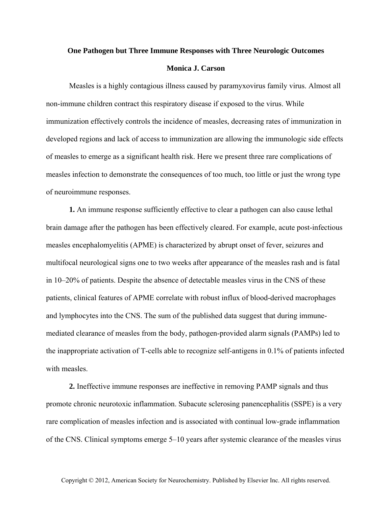## **One Pathogen but Three Immune Responses with Three Neurologic Outcomes**

## **Monica J. Carson**

Measles is a highly contagious illness caused by paramyxovirus family virus. Almost all non-immune children contract this respiratory disease if exposed to the virus. While immunization effectively controls the incidence of measles, decreasing rates of immunization in developed regions and lack of access to immunization are allowing the immunologic side effects of measles to emerge as a significant health risk. Here we present three rare complications of measles infection to demonstrate the consequences of too much, too little or just the wrong type of neuroimmune responses.

**1.** An immune response sufficiently effective to clear a pathogen can also cause lethal brain damage after the pathogen has been effectively cleared. For example, acute post-infectious measles encephalomyelitis (APME) is characterized by abrupt onset of fever, seizures and multifocal neurological signs one to two weeks after appearance of the measles rash and is fatal in 10–20% of patients. Despite the absence of detectable measles virus in the CNS of these patients, clinical features of APME correlate with robust influx of blood-derived macrophages and lymphocytes into the CNS. The sum of the published data suggest that during immunemediated clearance of measles from the body, pathogen-provided alarm signals (PAMPs) led to the inappropriate activation of T-cells able to recognize self-antigens in 0.1% of patients infected with measles.

**2.** Ineffective immune responses are ineffective in removing PAMP signals and thus promote chronic neurotoxic inflammation. Subacute sclerosing panencephalitis (SSPE) is a very rare complication of measles infection and is associated with continual low-grade inflammation of the CNS. Clinical symptoms emerge 5–10 years after systemic clearance of the measles virus